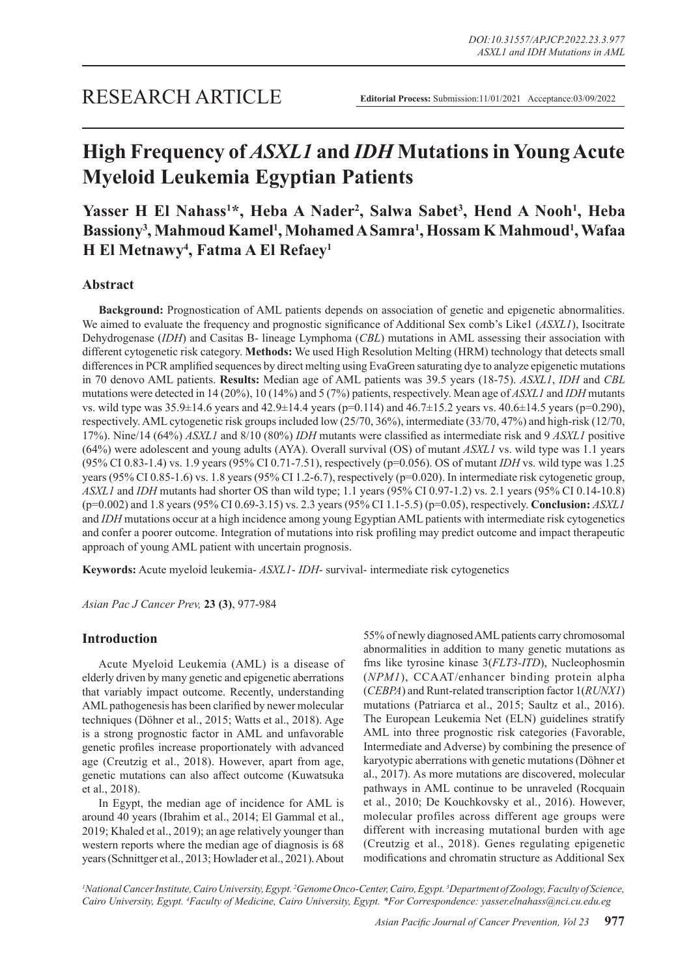# **High Frequency of** *ASXL1* **and** *IDH* **Mutations in Young Acute Myeloid Leukemia Egyptian Patients**

Yasser H El Nahass<sup>1\*</sup>, Heba A Nader<sup>2</sup>, Salwa Sabet<sup>3</sup>, Hend A Nooh<sup>1</sup>, Heba Bassiony<sup>3</sup>, Mahmoud Kamel<sup>1</sup>, Mohamed A Samra<sup>1</sup>, Hossam K Mahmoud<sup>1</sup>, Wafaa **H El Metnawy4 , Fatma A El Refaey1**

# **Abstract**

**Background:** Prognostication of AML patients depends on association of genetic and epigenetic abnormalities. We aimed to evaluate the frequency and prognostic significance of Additional Sex comb's Like1 (*ASXL1*), Isocitrate Dehydrogenase (*IDH*) and Casitas B- lineage Lymphoma (*CBL*) mutations in AML assessing their association with different cytogenetic risk category. **Methods:** We used High Resolution Melting (HRM) technology that detects small differences in PCR amplified sequences by direct melting using EvaGreen saturating dye to analyze epigenetic mutations in 70 denovo AML patients. **Results:** Median age of AML patients was 39.5 years (18-75). *ASXL1*, *IDH* and *CBL*  mutations were detected in 14 (20%), 10 (14%) and 5 (7%) patients, respectively. Mean age of *ASXL1* and *IDH* mutants vs. wild type was 35.9±14.6 years and 42.9±14.4 years (p=0.114) and 46.7±15.2 years vs. 40.6±14.5 years (p=0.290), respectively. AML cytogenetic risk groups included low (25/70, 36%), intermediate (33/70, 47%) and high-risk (12/70, 17%). Nine/14 (64%) *ASXL1* and 8/10 (80%) *IDH* mutants were classified as intermediate risk and 9 *ASXL1* positive (64%) were adolescent and young adults (AYA). Overall survival (OS) of mutant *ASXL1* vs. wild type was 1.1 years (95% CI 0.83-1.4) vs. 1.9 years (95% CI 0.71-7.51), respectively (p=0.056). OS of mutant *IDH* vs. wild type was 1.25 years (95% CI 0.85-1.6) vs. 1.8 years (95% CI 1.2-6.7), respectively (p=0.020). In intermediate risk cytogenetic group, *ASXL1* and *IDH* mutants had shorter OS than wild type; 1.1 years (95% CI 0.97-1.2) vs. 2.1 years (95% CI 0.14-10.8) (p=0.002) and 1.8 years (95% CI 0.69-3.15) vs. 2.3 years (95% CI 1.1-5.5) (p=0.05), respectively. **Conclusion:** *ASXL1* and *IDH* mutations occur at a high incidence among young Egyptian AML patients with intermediate risk cytogenetics and confer a poorer outcome. Integration of mutations into risk profiling may predict outcome and impact therapeutic approach of young AML patient with uncertain prognosis.

**Keywords:** Acute myeloid leukemia- *ASXL1*- *IDH*- survival- intermediate risk cytogenetics

*Asian Pac J Cancer Prev,* **23 (3)**, 977-984

# **Introduction**

Acute Myeloid Leukemia (AML) is a disease of elderly driven by many genetic and epigenetic aberrations that variably impact outcome. Recently, understanding AML pathogenesis has been clarified by newer molecular techniques (Döhner et al., 2015; Watts et al., 2018). Age is a strong prognostic factor in AML and unfavorable genetic profiles increase proportionately with advanced age (Creutzig et al., 2018). However, apart from age, genetic mutations can also affect outcome (Kuwatsuka et al., 2018).

In Egypt, the median age of incidence for AML is around 40 years (Ibrahim et al., 2014; El Gammal et al., 2019; Khaled et al., 2019); an age relatively younger than western reports where the median age of diagnosis is 68 years (Schnittger et al., 2013; Howlader et al., 2021). About

55% of newly diagnosed AML patients carry chromosomal abnormalities in addition to many genetic mutations as fms like tyrosine kinase 3(*FLT3-ITD*), Nucleophosmin (*NPM1*), CCAAT/enhancer binding protein alpha (*CEBPA*) and Runt-related transcription factor 1(*RUNX1*) mutations (Patriarca et al., 2015; Saultz et al., 2016). The European Leukemia Net (ELN) guidelines stratify AML into three prognostic risk categories (Favorable, Intermediate and Adverse) by combining the presence of karyotypic aberrations with genetic mutations (Döhner et al., 2017). As more mutations are discovered, molecular pathways in AML continue to be unraveled (Rocquain et al., 2010; De Kouchkovsky et al., 2016). However, molecular profiles across different age groups were different with increasing mutational burden with age (Creutzig et al., 2018). Genes regulating epigenetic modifications and chromatin structure as Additional Sex

<sup>1</sup>National Cancer Institute, Cairo University, Egypt.<sup>2</sup> Genome Onco-Center, Cairo, Egypt.<sup>3</sup> Department of Zoology, Faculty of Science, *Cairo University, Egypt. 4 Faculty of Medicine, Cairo University, Egypt. \*For Correspondence: yasser.elnahass@nci.cu.edu.eg*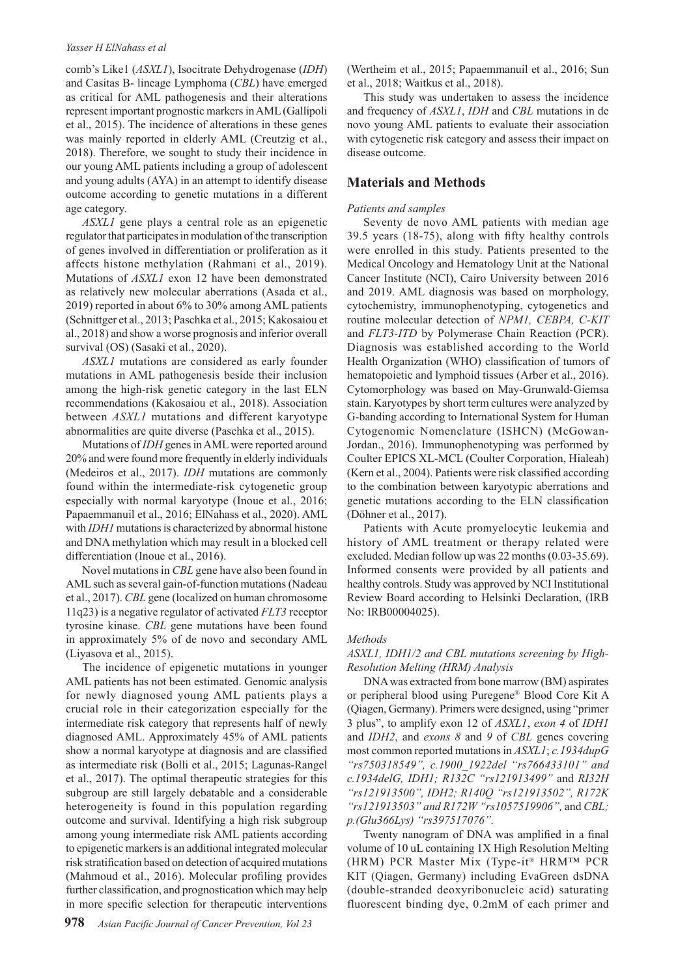## *Yasser H ElNahass et al*

comb's Like1 (*ASXL1*), Isocitrate Dehydrogenase (*IDH*) and Casitas B- lineage Lymphoma (*CBL*) have emerged as critical for AML pathogenesis and their alterations represent important prognostic markers in AML (Gallipoli et al., 2015). The incidence of alterations in these genes was mainly reported in elderly AML (Creutzig et al., 2018). Therefore, we sought to study their incidence in our young AML patients including a group of adolescent and young adults (AYA) in an attempt to identify disease outcome according to genetic mutations in a different age category.

*ASXL1* gene plays a central role as an epigenetic regulator that participates in modulation of the transcription of genes involved in differentiation or proliferation as it affects histone methylation (Rahmani et al., 2019). Mutations of *ASXL1* exon 12 have been demonstrated as relatively new molecular aberrations (Asada et al., 2019) reported in about 6% to 30% among AML patients (Schnittger et al., 2013; Paschka et al., 2015; Kakosaiou et al., 2018) and show a worse prognosis and inferior overall survival (OS) (Sasaki et al., 2020).

*ASXL1* mutations are considered as early founder mutations in AML pathogenesis beside their inclusion among the high-risk genetic category in the last ELN recommendations (Kakosaiou et al., 2018). Association between *ASXL1* mutations and different karyotype abnormalities are quite diverse (Paschka et al., 2015).

Mutations of *IDH* genes in AML were reported around 20% and were found more frequently in elderly individuals (Medeiros et al., 2017). *IDH* mutations are commonly found within the intermediate-risk cytogenetic group especially with normal karyotype (Inoue et al., 2016; Papaemmanuil et al., 2016; ElNahass et al., 2020). AML with *IDH1* mutations is characterized by abnormal histone and DNA methylation which may result in a blocked cell differentiation (Inoue et al., 2016).

Novel mutations in *CBL* gene have also been found in AML such as several gain-of-function mutations (Nadeau et al., 2017). *CBL* gene (localized on human chromosome 11q23) is a negative regulator of activated *FLT3* receptor tyrosine kinase. *CBL* gene mutations have been found in approximately 5% of de novo and secondary AML (Liyasova et al., 2015).

The incidence of epigenetic mutations in younger AML patients has not been estimated. Genomic analysis for newly diagnosed young AML patients plays a crucial role in their categorization especially for the intermediate risk category that represents half of newly diagnosed AML. Approximately 45% of AML patients show a normal karyotype at diagnosis and are classified as intermediate risk (Bolli et al., 2015; Lagunas-Rangel et al., 2017). The optimal therapeutic strategies for this subgroup are still largely debatable and a considerable heterogeneity is found in this population regarding outcome and survival. Identifying a high risk subgroup among young intermediate risk AML patients according to epigenetic markers is an additional integrated molecular risk stratification based on detection of acquired mutations (Mahmoud et al., 2016). Molecular profiling provides further classification, and prognostication which may help in more specific selection for therapeutic interventions

(Wertheim et al., 2015; Papaemmanuil et al., 2016; Sun et al., 2018; Waitkus et al., 2018).

This study was undertaken to assess the incidence and frequency of *ASXL1*, *IDH* and *CBL* mutations in de novo young AML patients to evaluate their association with cytogenetic risk category and assess their impact on disease outcome.

# **Materials and Methods**

## *Patients and samples*

Seventy de novo AML patients with median age 39.5 years (18-75), along with fifty healthy controls were enrolled in this study. Patients presented to the Medical Oncology and Hematology Unit at the National Cancer Institute (NCI), Cairo University between 2016 and 2019. AML diagnosis was based on morphology, cytochemistry, immunophenotyping, cytogenetics and routine molecular detection of *NPM1, CEBPA, C-KIT*  and *FLT3-ITD* by Polymerase Chain Reaction (PCR). Diagnosis was established according to the World Health Organization (WHO) classification of tumors of hematopoietic and lymphoid tissues (Arber et al., 2016). Cytomorphology was based on May-Grunwald-Giemsa stain. Karyotypes by short term cultures were analyzed by G-banding according to International System for Human Cytogenomic Nomenclature (ISHCN) (McGowan-Jordan., 2016). Immunophenotyping was performed by Coulter EPICS XL-MCL (Coulter Corporation, Hialeah) (Kern et al., 2004). Patients were risk classified according to the combination between karyotypic aberrations and genetic mutations according to the ELN classification (Döhner et al., 2017).

Patients with Acute promyelocytic leukemia and history of AML treatment or therapy related were excluded. Median follow up was 22 months (0.03-35.69). Informed consents were provided by all patients and healthy controls. Study was approved by NCI Institutional Review Board according to Helsinki Declaration, (IRB No: IRB00004025).

#### *Methods*

## *ASXL1, IDH1/2 and CBL mutations screening by High-Resolution Melting (HRM) Analysis*

DNA was extracted from bone marrow (BM) aspirates or peripheral blood using Puregene® Blood Core Kit A (Qiagen, Germany). Primers were designed, using "primer 3 plus", to amplify exon 12 of *ASXL1*, *exon 4* of *IDH1*  and *IDH2*, and *exons 8* and *9* of *CBL* genes covering most common reported mutations in *ASXL1*; *c.1934dupG "rs750318549", c.1900\_1922del "rs766433101" and c.1934delG, IDH1; R132C "rs121913499"* and *RI32H "rs121913500", IDH2; R140Q "rs121913502", R172K "rs121913503" and R172W "rs1057519906",* and *CBL; p.(Glu366Lys) "rs397517076".* 

Twenty nanogram of DNA was amplified in a final volume of 10 uL containing 1X High Resolution Melting (HRM) PCR Master Mix (Type-it® HRM™ PCR KIT (Qiagen, Germany) including EvaGreen dsDNA (double-stranded deoxyribonucleic acid) saturating fluorescent binding dye, 0.2mM of each primer and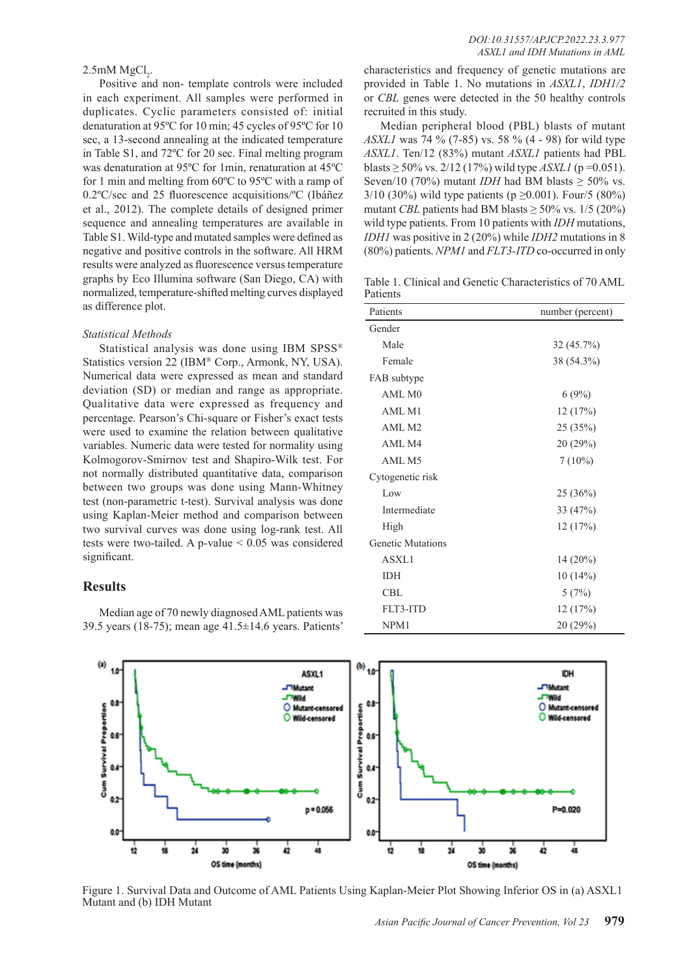# $2.5$ mM  $MgCl<sub>2</sub>$ .

Positive and non- template controls were included in each experiment. All samples were performed in duplicates. Cyclic parameters consisted of: initial denaturation at 95ºC for 10 min; 45 cycles of 95ºC for 10 sec, a 13-second annealing at the indicated temperature in Table S1, and 72ºC for 20 sec. Final melting program was denaturation at 95ºC for 1min, renaturation at 45ºC for 1 min and melting from 60ºC to 95ºC with a ramp of 0.2ºC/sec and 25 fluorescence acquisitions/ºC (Ibáñez et al., 2012). The complete details of designed primer sequence and annealing temperatures are available in Table S1. Wild-type and mutated samples were defined as negative and positive controls in the software. All HRM results were analyzed as fluorescence versus temperature graphs by Eco Illumina software (San Diego, CA) with normalized, temperature-shifted melting curves displayed as difference plot.

#### *Statistical Methods*

Statistical analysis was done using IBM SPSS® Statistics version 22 (IBM® Corp., Armonk, NY, USA). Numerical data were expressed as mean and standard deviation (SD) or median and range as appropriate. Qualitative data were expressed as frequency and percentage. Pearson's Chi-square or Fisher's exact tests were used to examine the relation between qualitative variables. Numeric data were tested for normality using Kolmogorov-Smirnov test and Shapiro-Wilk test. For not normally distributed quantitative data, comparison between two groups was done using Mann-Whitney test (non-parametric t-test). Survival analysis was done using Kaplan-Meier method and comparison between two survival curves was done using log-rank test. All tests were two-tailed. A p-value  $\leq 0.05$  was considered significant.

## **Results**

Median age of 70 newly diagnosed AML patients was 39.5 years (18-75); mean age 41.5±14.6 years. Patients'

characteristics and frequency of genetic mutations are provided in Table 1. No mutations in *ASXL1*, *IDH1/2* or *CBL* genes were detected in the 50 healthy controls recruited in this study.

Median peripheral blood (PBL) blasts of mutant *ASXL1* was 74 % (7-85) vs. 58 % (4 - 98) for wild type *ASXL1*. Ten/12 (83%) mutant *ASXL1* patients had PBL blasts  $\geq$  50% vs. 2/12 (17%) wild type *ASXL1* (p=0.051). Seven/10 (70%) mutant *IDH* had BM blasts  $\geq$  50% vs. 3/10 (30%) wild type patients (p  $\geq$  0.001). Four/5 (80%) mutant *CBL* patients had BM blasts  $\geq$  50% vs. 1/5 (20%) wild type patients. From 10 patients with *IDH* mutations, *IDH1* was positive in 2 (20%) while *IDH2* mutations in 8 (80%) patients. *NPM1* and *FLT3-ITD* co-occurred in only

Table 1. Clinical and Genetic Characteristics of 70 AML Patients

| Patients                 | number (percent) |
|--------------------------|------------------|
| Gender                   |                  |
| Male                     | 32(45.7%)        |
| Female                   | 38 (54.3%)       |
| FAB subtype              |                  |
| AMLMO                    | 6(9%)            |
| AML M1                   | 12(17%)          |
| AML M2                   | 25 (35%)         |
| AML M4                   | 20 (29%)         |
| AML M5                   | $7(10\%)$        |
| Cytogenetic risk         |                  |
| Low                      | 25(36%)          |
| Intermediate             | 33 (47%)         |
| High                     | 12(17%)          |
| <b>Genetic Mutations</b> |                  |
| ASXL1                    | $14(20\%)$       |
| <b>IDH</b>               | 10(14%)          |
| CBL                      | 5(7%)            |
| FLT3-ITD                 | 12(17%)          |
| NPM1                     | 20 (29%)         |



Figure 1. Survival Data and Outcome of AML Patients Using Kaplan-Meier Plot Showing Inferior OS in (a) ASXL1 Mutant and (b) IDH Mutant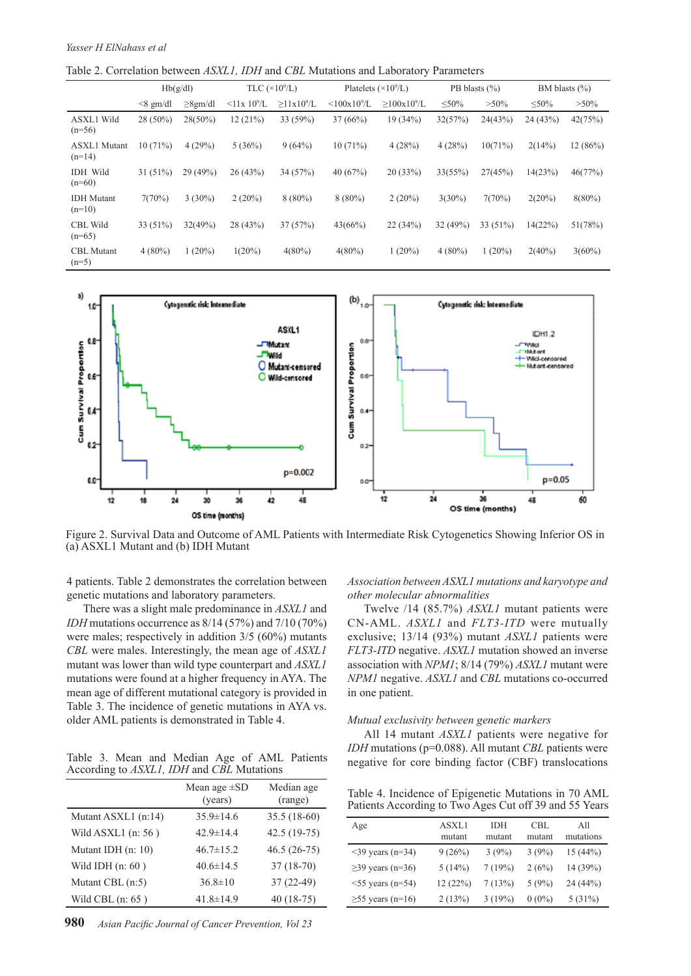Table 2. Correlation between *ASXL1, IDH* and *CBL* Mutations and Laboratory Parameters

|                                 | Hb(g/dl)     |               | TLC $(\times 10^9$ /L)        |                              | Platelets $(\times 10^9/L)$ |                               | PB blasts $(\% )$ |           | BM blasts $(\% )$ |           |
|---------------------------------|--------------|---------------|-------------------------------|------------------------------|-----------------------------|-------------------------------|-------------------|-----------|-------------------|-----------|
|                                 | $\leq$ gm/dl | $\geq$ 8gm/dl | $\leq$ 11x 10 <sup>9</sup> /L | $\geq$ 11x10 <sup>9</sup> /L | $<100x10^9/L$               | $\geq$ 100x10 <sup>9</sup> /L | $\leq 50\%$       | $>50\%$   | $\leq 50\%$       | $>50\%$   |
| <b>ASXL1</b> Wild<br>$(n=56)$   | $28(50\%)$   | $28(50\%)$    | 12(21%)                       | 33(59%)                      | 37(66%)                     | 19(34%)                       | 32(57%)           | 24(43%)   | 24(43%)           | 42(75%)   |
| <b>ASXL1</b> Mutant<br>$(n=14)$ | 10(71%)      | 4(29%)        | 5(36%)                        | 9(64%)                       | 10(71%)                     | 4(28%)                        | 4(28%)            | 10(71%)   | 2(14%)            | 12(86%)   |
| <b>IDH</b> Wild<br>$(n=60)$     | 31(51%)      | 29 (49%)      | 26(43%)                       | 34 (57%)                     | 40(67%)                     | 20(33%)                       | 33(55%)           | 27(45%)   | 14(23%)           | 46(77%)   |
| <b>IDH</b> Mutant<br>$(n=10)$   | 7(70%)       | $3(30\%)$     | $2(20\%)$                     | $8(80\%)$                    | $8(80\%)$                   | $2(20\%)$                     | $3(30\%)$         | 7(70%)    | 2(20%)            | $8(80\%)$ |
| <b>CBL</b> Wild<br>$(n=65)$     | 33 $(51\%)$  | 32(49%)       | 28 (43%)                      | 37(57%)                      | 43(66%)                     | 22(34%)                       | 32(49%)           | 33(51%)   | 14(22%)           | 51(78%)   |
| <b>CBL</b> Mutant<br>$(n=5)$    | $4(80\%)$    | $(20\%)$      | $1(20\%)$                     | $4(80\%)$                    | $4(80\%)$                   | $1(20\%)$                     | $4(80\%)$         | $1(20\%)$ | $2(40\%)$         | $3(60\%)$ |



Figure 2. Survival Data and Outcome of AML Patients with Intermediate Risk Cytogenetics Showing Inferior OS in (a) ASXL1 Mutant and (b) IDH Mutant

4 patients. Table 2 demonstrates the correlation between genetic mutations and laboratory parameters.

There was a slight male predominance in *ASXL1* and *IDH* mutations occurrence as 8/14 (57%) and 7/10 (70%) were males; respectively in addition 3/5 (60%) mutants *CBL* were males. Interestingly, the mean age of *ASXL1* mutant was lower than wild type counterpart and *ASXL1* mutations were found at a higher frequency in AYA. The mean age of different mutational category is provided in Table 3. The incidence of genetic mutations in AYA vs. older AML patients is demonstrated in Table 4.

Table 3. Mean and Median Age of AML Patients According to *ASXL1, IDH* and *CBL* Mutations

|                     | Mean age $\pm SD$<br>(years) | Median age<br>(range) |
|---------------------|------------------------------|-----------------------|
| Mutant ASXL1 (n:14) | $35.9 \pm 14.6$              | $35.5(18-60)$         |
| Wild ASXL1 (n: 56)  | $42.9 \pm 14.4$              | 42.5 (19-75)          |
| Mutant IDH (n: 10)  | $46.7 \pm 15.2$              | $46.5(26-75)$         |
| Wild IDH $(n: 60)$  | $40.6 \pm 14.5$              | $37(18-70)$           |
| Mutant CBL (n:5)    | $36.8 \pm 10$                | $37(22-49)$           |
| Wild CBL $(n: 65)$  | $41.8 \pm 14.9$              | $40(18-75)$           |

*Association between ASXL1 mutations and karyotype and other molecular abnormalities*

Twelve /14 (85.7%) *ASXL1* mutant patients were CN-AML. *ASXL1* and *FLT3-ITD* were mutually exclusive; 13/14 (93%) mutant *ASXL1* patients were *FLT3-ITD* negative. *ASXL1* mutation showed an inverse association with *NPM1*; 8/14 (79%) *ASXL1* mutant were *NPM1* negative. *ASXL1* and *CBL* mutations co-occurred in one patient.

#### *Mutual exclusivity between genetic markers*

All 14 mutant *ASXL1* patients were negative for *IDH* mutations (p=0.088). All mutant *CBL* patients were negative for core binding factor (CBF) translocations

Table 4. Incidence of Epigenetic Mutations in 70 AML Patients According to Two Ages Cut off 39 and 55 Years

| Age                    | ASXL1<br>mutant | IDH<br>mutant | CBL<br>mutant | All<br>mutations |
|------------------------|-----------------|---------------|---------------|------------------|
| $\leq$ 39 years (n=34) | 9(26%)          | 3(9%)         | 3(9%)         | 15(44%)          |
| $\geq$ 39 years (n=36) | 5(14%)          | 7(19%)        | 2(6%)         | 14 (39%)         |
| $55$ years (n=54)      | 12(22%)         | 7(13%)        | $5(9\%)$      | 24 (44%)         |
| $\geq$ 55 years (n=16) | 2(13%)          | 3(19%)        | $0(0\%)$      | $5(31\%)$        |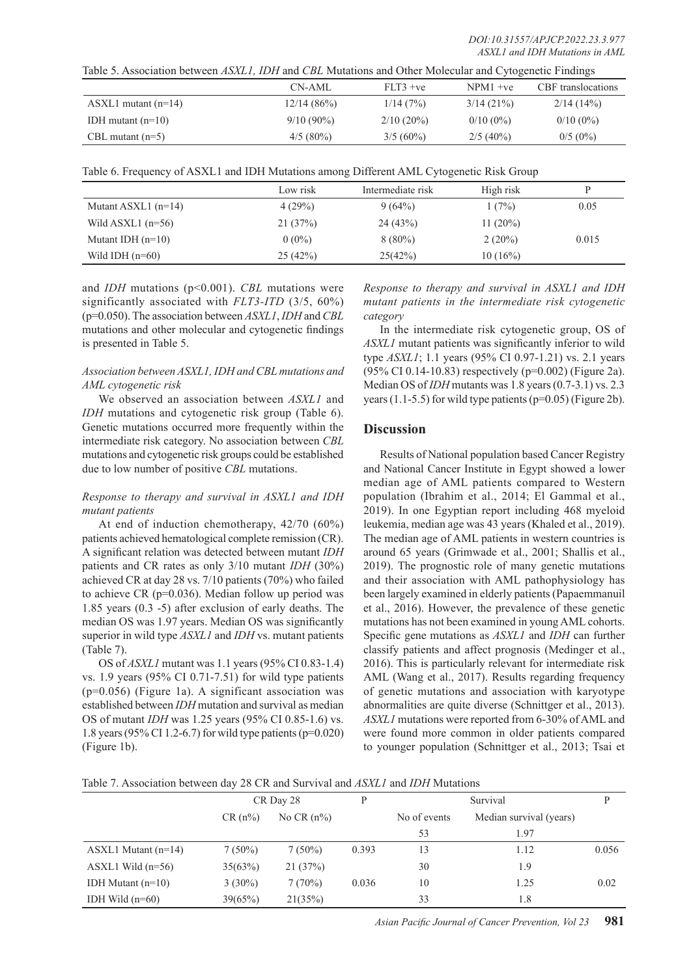| Table 5. Association between ASXL1, IDH and CBL Mutations and Other Molecular and Cytogenetic Findings |              |              |              |                    |  |  |
|--------------------------------------------------------------------------------------------------------|--------------|--------------|--------------|--------------------|--|--|
|                                                                                                        | CN-AML       | $FLT3 + ve$  | $NPM1 + ve$  | CBF translocations |  |  |
| $\text{ASXL1}$ mutant (n=14)                                                                           | 12/14(86%)   | 1/14(7%)     | $3/14(21\%)$ | 2/14(14%)          |  |  |
| IDH mutant $(n=10)$                                                                                    | $9/10(90\%)$ | $2/10(20\%)$ | $0/10(0\%)$  | $0/10(0\%)$        |  |  |
| CBL mutant $(n=5)$                                                                                     | $4/5(80\%)$  | $3/5(60\%)$  | $2/5(40\%)$  | $0/5(0\%)$         |  |  |

|  | Table 6. Frequency of ASXL1 and IDH Mutations among Different AML Cytogenetic Risk Group |  |  |  |  |
|--|------------------------------------------------------------------------------------------|--|--|--|--|
|  |                                                                                          |  |  |  |  |
|  |                                                                                          |  |  |  |  |

|                       | Low risk | Intermediate risk | High risk   | D     |
|-----------------------|----------|-------------------|-------------|-------|
| Mutant ASXL1 $(n=14)$ | 4(29%)   | 9(64%)            | 1(7%)       | 0.05  |
| Wild ASXL1 $(n=56)$   | 21(37%)  | 24(43%)           | 11 $(20\%)$ |       |
| Mutant IDH $(n=10)$   | $0(0\%)$ | $8(80\%)$         | $2(20\%)$   | 0.015 |
| Wild IDH $(n=60)$     | 25(42%)  | 25(42%)           | $10(16\%)$  |       |

and *IDH* mutations (p<0.001). *CBL* mutations were significantly associated with *FLT3-ITD* (3/5, 60%) (p=0.050). The association between *ASXL1*, *IDH* and *CBL* mutations and other molecular and cytogenetic findings is presented in Table 5.

## *Association between ASXL1, IDH and CBL mutations and AML cytogenetic risk*

We observed an association between *ASXL1* and *IDH* mutations and cytogenetic risk group (Table 6). Genetic mutations occurred more frequently within the intermediate risk category. No association between *CBL*  mutations and cytogenetic risk groups could be established due to low number of positive *CBL* mutations.

## *Response to therapy and survival in ASXL1 and IDH mutant patients*

At end of induction chemotherapy, 42/70 (60%) patients achieved hematological complete remission (CR). A significant relation was detected between mutant *IDH*  patients and CR rates as only 3/10 mutant *IDH* (30%) achieved CR at day 28 vs. 7/10 patients (70%) who failed to achieve CR (p=0.036). Median follow up period was 1.85 years (0.3 -5) after exclusion of early deaths. The median OS was 1.97 years. Median OS was significantly superior in wild type *ASXL1* and *IDH* vs. mutant patients (Table 7).

OS of *ASXL1* mutant was 1.1 years (95% CI 0.83-1.4) vs. 1.9 years (95% CI 0.71-7.51) for wild type patients (p=0.056) (Figure 1a). A significant association was established between *IDH* mutation and survival as median OS of mutant *IDH* was 1.25 years (95% CI 0.85-1.6) vs. 1.8 years (95% CI 1.2-6.7) for wild type patients (p=0.020) (Figure 1b).

*Response to therapy and survival in ASXL1 and IDH mutant patients in the intermediate risk cytogenetic category*

In the intermediate risk cytogenetic group, OS of *ASXL1* mutant patients was significantly inferior to wild type *ASXL1*; 1.1 years (95% CI 0.97-1.21) vs. 2.1 years (95% CI 0.14-10.83) respectively (p=0.002) (Figure 2a). Median OS of *IDH* mutants was 1.8 years (0.7-3.1) vs. 2.3 years  $(1.1-5.5)$  for wild type patients  $(p=0.05)$  (Figure 2b).

# **Discussion**

Results of National population based Cancer Registry and National Cancer Institute in Egypt showed a lower median age of AML patients compared to Western population (Ibrahim et al., 2014; El Gammal et al., 2019). In one Egyptian report including 468 myeloid leukemia, median age was 43 years (Khaled et al., 2019). The median age of AML patients in western countries is around 65 years (Grimwade et al., 2001; Shallis et al., 2019). The prognostic role of many genetic mutations and their association with AML pathophysiology has been largely examined in elderly patients (Papaemmanuil et al., 2016). However, the prevalence of these genetic mutations has not been examined in young AML cohorts. Specific gene mutations as *ASXL1* and *IDH* can further classify patients and affect prognosis (Medinger et al., 2016). This is particularly relevant for intermediate risk AML (Wang et al., 2017). Results regarding frequency of genetic mutations and association with karyotype abnormalities are quite diverse (Schnittger et al., 2013). *ASXL1* mutations were reported from 6-30% of AML and were found more common in older patients compared to younger population (Schnittger et al., 2013; Tsai et

|                              | CR Day 28 |               | D     |              | P                       |       |
|------------------------------|-----------|---------------|-------|--------------|-------------------------|-------|
|                              | $CR(n\%)$ | No CR $(n\%)$ |       | No of events | Median survival (years) |       |
|                              |           |               |       | 53           | 1.97                    |       |
| $\text{ASXL1}$ Mutant (n=14) | $7(50\%)$ | $7(50\%)$     | 0.393 | 13           | 1.12                    | 0.056 |
| ASXL1 Wild $(n=56)$          | 35(63%)   | 21(37%)       |       | 30           | 1.9                     |       |
| IDH Mutant $(n=10)$          | $3(30\%)$ | 7(70%)        | 0.036 | 10           | 1.25                    | 0.02  |
| IDH Wild $(n=60)$            | 39(65%)   | 21(35%)       |       | 33           | 1.8                     |       |

*Asian Pacific Journal of Cancer Prevention, Vol 23* **981**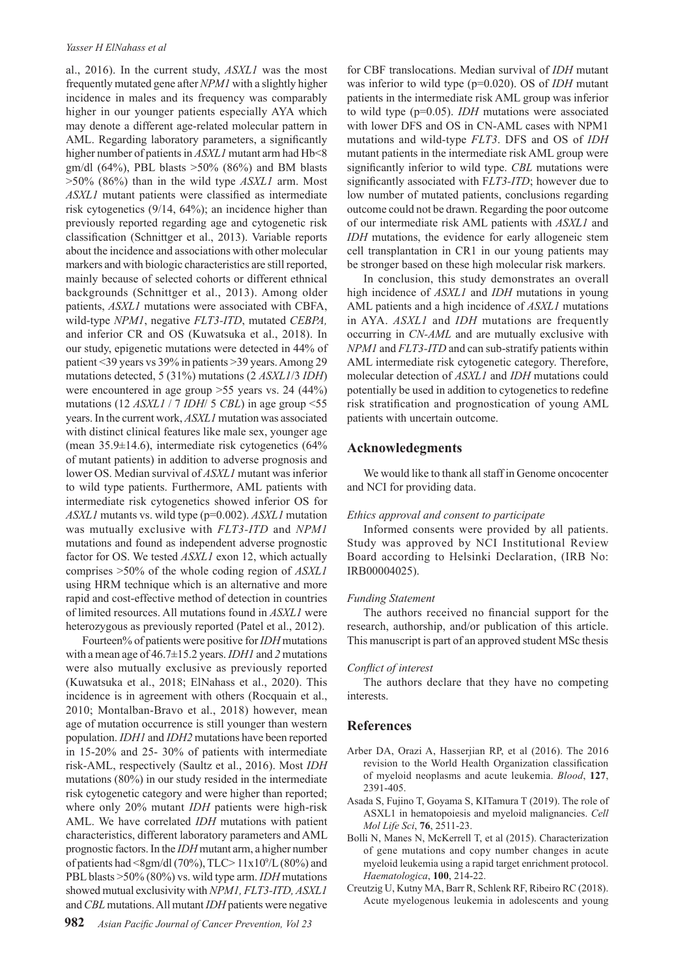#### *Yasser H ElNahass et al*

al., 2016). In the current study, *ASXL1* was the most frequently mutated gene after *NPM1* with a slightly higher incidence in males and its frequency was comparably higher in our younger patients especially AYA which may denote a different age-related molecular pattern in AML. Regarding laboratory parameters, a significantly higher number of patients in *ASXL1* mutant arm had Hb<8 gm/dl (64%), PBL blasts  $>50\%$  (86%) and BM blasts >50% (86%) than in the wild type *ASXL1* arm. Most *ASXL1* mutant patients were classified as intermediate risk cytogenetics (9/14, 64%); an incidence higher than previously reported regarding age and cytogenetic risk classification (Schnittger et al., 2013). Variable reports about the incidence and associations with other molecular markers and with biologic characteristics are still reported, mainly because of selected cohorts or different ethnical backgrounds (Schnittger et al., 2013). Among older patients, *ASXL1* mutations were associated with CBFA, wild-type *NPM1*, negative *FLT3-ITD*, mutated *CEBPA,*  and inferior CR and OS (Kuwatsuka et al., 2018). In our study, epigenetic mutations were detected in 44% of patient <39 years vs 39% in patients >39 years. Among 29 mutations detected, 5 (31%) mutations (2 *ASXL1*/3 *IDH*) were encountered in age group >55 years vs. 24 (44%) mutations (12 *ASXL1* / 7 *IDH*/ 5 *CBL*) in age group <55 years. In the current work, *ASXL1* mutation was associated with distinct clinical features like male sex, younger age (mean  $35.9\pm14.6$ ), intermediate risk cytogenetics (64%) of mutant patients) in addition to adverse prognosis and lower OS. Median survival of *ASXL1* mutant was inferior to wild type patients. Furthermore, AML patients with intermediate risk cytogenetics showed inferior OS for *ASXL1* mutants vs. wild type (p=0.002). *ASXL1* mutation was mutually exclusive with *FLT3-ITD* and *NPM1*  mutations and found as independent adverse prognostic factor for OS. We tested *ASXL1* exon 12, which actually comprises >50% of the whole coding region of *ASXL1* using HRM technique which is an alternative and more rapid and cost-effective method of detection in countries of limited resources. All mutations found in *ASXL1* were heterozygous as previously reported (Patel et al., 2012).

Fourteen% of patients were positive for *IDH* mutations with a mean age of 46.7±15.2 years. *IDH1* and *2* mutations were also mutually exclusive as previously reported (Kuwatsuka et al., 2018; ElNahass et al., 2020). This incidence is in agreement with others (Rocquain et al., 2010; Montalban-Bravo et al., 2018) however, mean age of mutation occurrence is still younger than western population. *IDH1* and *IDH2* mutations have been reported in 15-20% and 25- 30% of patients with intermediate risk-AML, respectively (Saultz et al., 2016). Most *IDH*  mutations (80%) in our study resided in the intermediate risk cytogenetic category and were higher than reported; where only 20% mutant *IDH* patients were high-risk AML. We have correlated *IDH* mutations with patient characteristics, different laboratory parameters and AML prognostic factors. In the *IDH* mutant arm, a higher number of patients had <8gm/dl (70%), TLC>  $11x10<sup>9</sup>/L$  (80%) and PBL blasts >50% (80%) vs. wild type arm. *IDH* mutations showed mutual exclusivity with *NPM1, FLT3-ITD, ASXL1* and *CBL* mutations. All mutant *IDH* patients were negative

for CBF translocations. Median survival of *IDH* mutant was inferior to wild type (p=0.020). OS of *IDH* mutant patients in the intermediate risk AML group was inferior to wild type (p=0.05). *IDH* mutations were associated with lower DFS and OS in CN-AML cases with NPM1 mutations and wild-type *FLT3*. DFS and OS of *IDH* mutant patients in the intermediate risk AML group were significantly inferior to wild type. *CBL* mutations were significantly associated with F*LT3-ITD*; however due to low number of mutated patients, conclusions regarding outcome could not be drawn. Regarding the poor outcome of our intermediate risk AML patients with *ASXL1* and *IDH* mutations, the evidence for early allogeneic stem cell transplantation in CR1 in our young patients may be stronger based on these high molecular risk markers.

In conclusion, this study demonstrates an overall high incidence of *ASXL1* and *IDH* mutations in young AML patients and a high incidence of *ASXL1* mutations in AYA. *ASXL1* and *IDH* mutations are frequently occurring in *CN-AML* and are mutually exclusive with *NPM1* and *FLT3-ITD* and can sub-stratify patients within AML intermediate risk cytogenetic category. Therefore, molecular detection of *ASXL1* and *IDH* mutations could potentially be used in addition to cytogenetics to redefine risk stratification and prognostication of young AML patients with uncertain outcome.

## **Acknowledegments**

We would like to thank all staff in Genome oncocenter and NCI for providing data.

## *Ethics approval and consent to participate*

Informed consents were provided by all patients. Study was approved by NCI Institutional Review Board according to Helsinki Declaration, (IRB No: IRB00004025).

#### *Funding Statement*

The authors received no financial support for the research, authorship, and/or publication of this article. This manuscript is part of an approved student MSc thesis

#### *Conflict of interest*

The authors declare that they have no competing interests.

## **References**

- Arber DA, Orazi A, Hasserjian RP, et al (2016). The 2016 revision to the World Health Organization classification of myeloid neoplasms and acute leukemia. *Blood*, **127**, 2391-405.
- Asada S, Fujino T, Goyama S, KITamura T (2019). The role of ASXL1 in hematopoiesis and myeloid malignancies. *Cell Mol Life Sci*, **76**, 2511-23.
- Bolli N, Manes N, McKerrell T, et al (2015). Characterization of gene mutations and copy number changes in acute myeloid leukemia using a rapid target enrichment protocol. *Haematologica*, **100**, 214-22.
- Creutzig U, Kutny MA, Barr R, Schlenk RF, Ribeiro RC (2018). Acute myelogenous leukemia in adolescents and young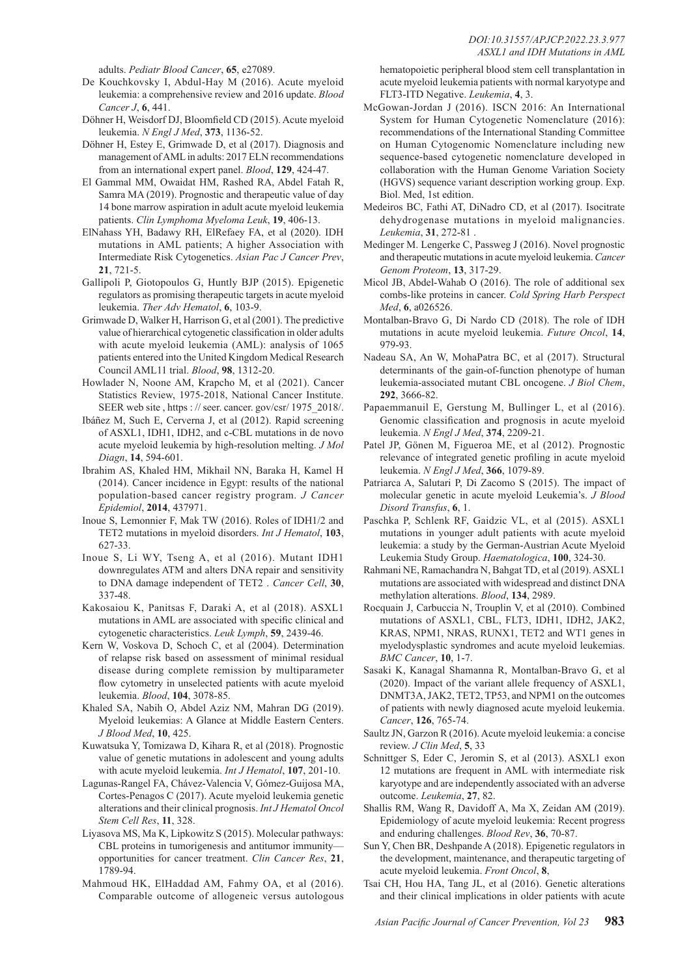adults. *Pediatr Blood Cancer*, **65**, e27089.

- De Kouchkovsky I, Abdul-Hay M (2016). Acute myeloid leukemia: a comprehensive review and 2016 update. *Blood Cancer J*, **6**, 441.
- Döhner H, Weisdorf DJ, Bloomfield CD (2015). Acute myeloid leukemia. *N Engl J Med*, **373**, 1136-52.
- Döhner H, Estey E, Grimwade D, et al (2017). Diagnosis and management of AML in adults: 2017 ELN recommendations from an international expert panel. *Blood*, **129**, 424-47.
- El Gammal MM, Owaidat HM, Rashed RA, Abdel Fatah R, Samra MA (2019). Prognostic and therapeutic value of day 14 bone marrow aspiration in adult acute myeloid leukemia patients. *Clin Lymphoma Myeloma Leuk*, **19**, 406-13.
- ElNahass YH, Badawy RH, ElRefaey FA, et al (2020). IDH mutations in AML patients; A higher Association with Intermediate Risk Cytogenetics. *Asian Pac J Cancer Prev*, **21**, 721-5.
- Gallipoli P, Giotopoulos G, Huntly BJP (2015). Epigenetic regulators as promising therapeutic targets in acute myeloid leukemia. *Ther Adv Hematol*, **6**, 103-9.
- Grimwade D, Walker H, Harrison G, et al (2001). The predictive value of hierarchical cytogenetic classification in older adults with acute myeloid leukemia (AML): analysis of 1065 patients entered into the United Kingdom Medical Research Council AML11 trial. *Blood*, **98**, 1312-20.
- Howlader N, Noone AM, Krapcho M, et al (2021). Cancer Statistics Review, 1975-2018, National Cancer Institute. SEER web site, https : // seer. cancer. gov/csr/ 1975 2018/.
- Ibáñez M, Such E, Cerverna J, et al (2012). Rapid screening of ASXL1, IDH1, IDH2, and c-CBL mutations in de novo acute myeloid leukemia by high-resolution melting. *J Mol Diagn*, **14**, 594-601.
- Ibrahim AS, Khaled HM, Mikhail NN, Baraka H, Kamel H (2014). Cancer incidence in Egypt: results of the national population-based cancer registry program. *J Cancer Epidemiol*, **2014**, 437971.
- Inoue S, Lemonnier F, Mak TW (2016). Roles of IDH1/2 and TET2 mutations in myeloid disorders. *Int J Hematol*, **103**, 627-33.
- Inoue S, Li WY, Tseng A, et al (2016). Mutant IDH1 downregulates ATM and alters DNA repair and sensitivity to DNA damage independent of TET2 . *Cancer Cell*, **30**, 337-48.
- Kakosaiou K, Panitsas F, Daraki A, et al (2018). ASXL1 mutations in AML are associated with specific clinical and cytogenetic characteristics. *Leuk Lymph*, **59**, 2439-46.
- Kern W, Voskova D, Schoch C, et al (2004). Determination of relapse risk based on assessment of minimal residual disease during complete remission by multiparameter flow cytometry in unselected patients with acute myeloid leukemia. *Blood*, **104**, 3078-85.
- Khaled SA, Nabih O, Abdel Aziz NM, Mahran DG (2019). Myeloid leukemias: A Glance at Middle Eastern Centers. *J Blood Med*, **10**, 425.
- Kuwatsuka Y, Tomizawa D, Kihara R, et al (2018). Prognostic value of genetic mutations in adolescent and young adults with acute myeloid leukemia. *Int J Hematol*, **107**, 201-10.
- Lagunas-Rangel FA, Chávez-Valencia V, Gómez-Guijosa MA, Cortes-Penagos C (2017). Acute myeloid leukemia genetic alterations and their clinical prognosis. *Int J Hematol Oncol Stem Cell Res*, **11**, 328.
- Liyasova MS, Ma K, Lipkowitz S (2015). Molecular pathways: CBL proteins in tumorigenesis and antitumor immunity opportunities for cancer treatment. *Clin Cancer Res*, **21**, 1789-94.
- Mahmoud HK, ElHaddad AM, Fahmy OA, et al (2016). Comparable outcome of allogeneic versus autologous

hematopoietic peripheral blood stem cell transplantation in acute myeloid leukemia patients with normal karyotype and FLT3-ITD Negative. *Leukemia*, **4**, 3.

- McGowan-Jordan J (2016). ISCN 2016: An International System for Human Cytogenetic Nomenclature (2016): recommendations of the International Standing Committee on Human Cytogenomic Nomenclature including new sequence-based cytogenetic nomenclature developed in collaboration with the Human Genome Variation Society (HGVS) sequence variant description working group. Exp. Biol. Med, 1st edition.
- Medeiros BC, Fathi AT, DiNadro CD, et al (2017). Isocitrate dehydrogenase mutations in myeloid malignancies. *Leukemia*, **31**, 272-81 .
- Medinger M. Lengerke C, Passweg J (2016). Novel prognostic and therapeutic mutations in acute myeloid leukemia. *Cancer Genom Proteom*, **13**, 317-29.
- Micol JB, Abdel-Wahab O (2016). The role of additional sex combs-like proteins in cancer. *Cold Spring Harb Perspect Med*, **6**, a026526.
- Montalban-Bravo G, Di Nardo CD (2018). The role of IDH mutations in acute myeloid leukemia. *Future Oncol*, **14**, 979-93.
- Nadeau SA, An W, MohaPatra BC, et al (2017). Structural determinants of the gain-of-function phenotype of human leukemia-associated mutant CBL oncogene. *J Biol Chem*, **292**, 3666-82.
- Papaemmanuil E, Gerstung M, Bullinger L, et al (2016). Genomic classification and prognosis in acute myeloid leukemia. *N Engl J Med*, **374**, 2209-21.
- Patel JP, Gönen M, Figueroa ME, et al (2012). Prognostic relevance of integrated genetic profiling in acute myeloid leukemia. *N Engl J Med*, **366**, 1079-89.
- Patriarca A, Salutari P, Di Zacomo S (2015). The impact of molecular genetic in acute myeloid Leukemia's. *J Blood Disord Transfus*, **6**, 1.
- Paschka P, Schlenk RF, Gaidzic VL, et al (2015). ASXL1 mutations in younger adult patients with acute myeloid leukemia: a study by the German-Austrian Acute Myeloid Leukemia Study Group. *Haematologica*, **100**, 324-30.
- Rahmani NE, Ramachandra N, Bahgat TD, et al (2019). ASXL1 mutations are associated with widespread and distinct DNA methylation alterations. *Blood*, **134**, 2989.
- Rocquain J, Carbuccia N, Trouplin V, et al (2010). Combined mutations of ASXL1, CBL, FLT3, IDH1, IDH2, JAK2, KRAS, NPM1, NRAS, RUNX1, TET2 and WT1 genes in myelodysplastic syndromes and acute myeloid leukemias. *BMC Cancer*, **10**, 1-7.
- Sasaki K, Kanagal Shamanna R, Montalban-Bravo G, et al (2020). Impact of the variant allele frequency of ASXL1, DNMT3A, JAK2, TET2, TP53, and NPM1 on the outcomes of patients with newly diagnosed acute myeloid leukemia. *Cancer*, **126**, 765-74.
- Saultz JN, Garzon R (2016). Acute myeloid leukemia: a concise review. *J Clin Med*, **5**, 33
- Schnittger S, Eder C, Jeromin S, et al (2013). ASXL1 exon 12 mutations are frequent in AML with intermediate risk karyotype and are independently associated with an adverse outcome. *Leukemia*, **27**, 82.
- Shallis RM, Wang R, Davidoff A, Ma X, Zeidan AM (2019). Epidemiology of acute myeloid leukemia: Recent progress and enduring challenges. *Blood Rev*, **36**, 70-87.
- Sun Y, Chen BR, Deshpande A (2018). Epigenetic regulators in the development, maintenance, and therapeutic targeting of acute myeloid leukemia. *Front Oncol*, **8**,
- Tsai CH, Hou HA, Tang JL, et al (2016). Genetic alterations and their clinical implications in older patients with acute